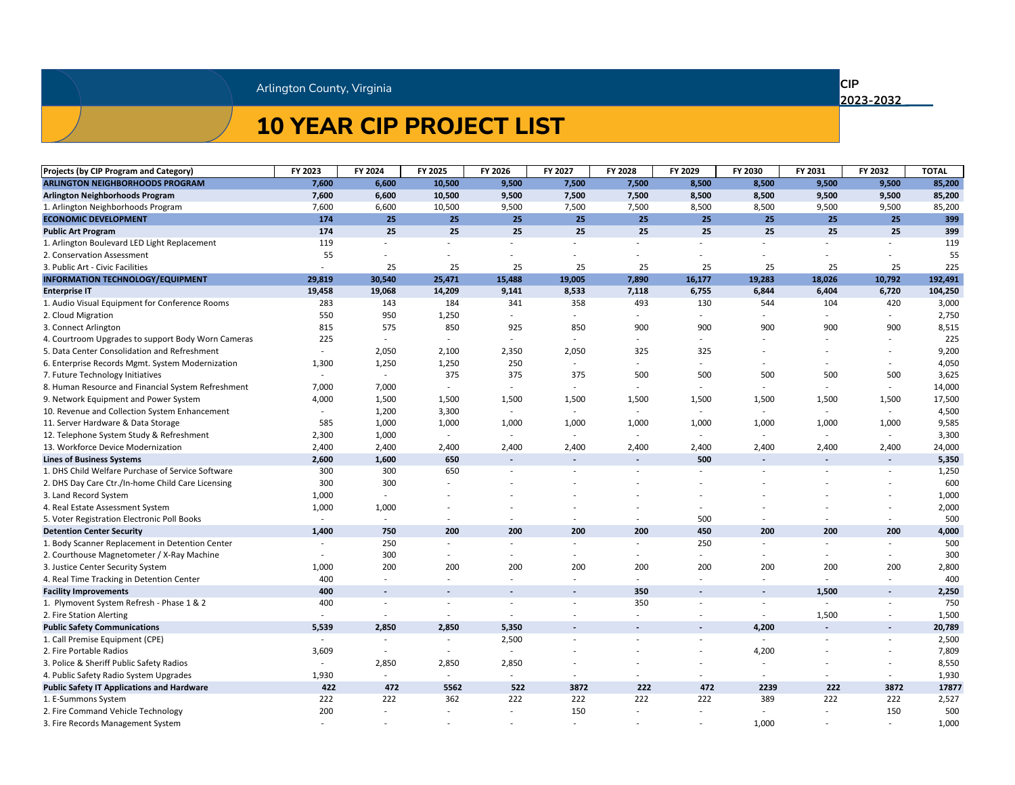| <b>Projects (by CIP Program and Category)</b>      | FY 2023 | FY 2024                  | FY 2025                  | FY 2026                  | FY 2027                  | FY 2028                  | FY 2029                  | FY 2030                  | FY 2031        | FY 2032                  | <b>TOTAL</b> |
|----------------------------------------------------|---------|--------------------------|--------------------------|--------------------------|--------------------------|--------------------------|--------------------------|--------------------------|----------------|--------------------------|--------------|
| <b>ARLINGTON NEIGHBORHOODS PROGRAM</b>             | 7,600   | 6,600                    | 10,500                   | 9,500                    | 7,500                    | 7,500                    | 8,500                    | 8,500                    | 9,500          | 9,500                    | 85,200       |
| <b>Arlington Neighborhoods Program</b>             | 7,600   | 6,600                    | 10,500                   | 9,500                    | 7,500                    | 7,500                    | 8,500                    | 8,500                    | 9,500          | 9,500                    | 85,200       |
| 1. Arlington Neighborhoods Program                 | 7,600   | 6,600                    | 10,500                   | 9,500                    | 7,500                    | 7,500                    | 8,500                    | 8,500                    | 9,500          | 9,500                    | 85,200       |
| <b>ECONOMIC DEVELOPMENT</b>                        | 174     | 25                       | 25                       | 25                       | 25                       | 25                       | 25                       | 25                       | 25             | 25                       | 399          |
| <b>Public Art Program</b>                          | 174     | 25                       | 25                       | 25                       | 25                       | 25                       | 25                       | 25                       | 25             | 25                       | 399          |
| 1. Arlington Boulevard LED Light Replacement       | 119     |                          |                          |                          |                          |                          |                          |                          |                |                          | 119          |
| 2. Conservation Assessment                         | 55      |                          |                          |                          |                          |                          |                          |                          |                |                          | 55           |
| 3. Public Art - Civic Facilities                   |         | 25                       | 25                       | 25                       | 25                       | 25                       | 25                       | 25                       | 25             | 25                       | 225          |
| <b>INFORMATION TECHNOLOGY/EQUIPMENT</b>            | 29,819  | 30,540                   | 25,471                   | 15,488                   | 19,005                   | 7,890                    | 16,177                   | 19,283                   | 18,026         | 10,792                   | 192,491      |
| <b>Enterprise IT</b>                               | 19,458  | 19,068                   | 14,209                   | 9,141                    | 8,533                    | 7,118                    | 6,755                    | 6,844                    | 6,404          | 6,720                    | 104,250      |
| 1. Audio Visual Equipment for Conference Rooms     | 283     | 143                      | 184                      | 341                      | 358                      | 493                      | 130                      | 544                      | 104            | 420                      | 3,000        |
| 2. Cloud Migration                                 | 550     | 950                      | 1,250                    |                          |                          |                          |                          |                          |                |                          | 2,750        |
| 3. Connect Arlington                               | 815     | 575                      | 850                      | 925                      | 850                      | 900                      | 900                      | 900                      | 900            | 900                      | 8,515        |
| 4. Courtroom Upgrades to support Body Worn Cameras | 225     |                          |                          |                          |                          |                          |                          |                          |                |                          | 225          |
| 5. Data Center Consolidation and Refreshment       |         | 2,050                    | 2,100                    | 2,350                    | 2,050                    | 325                      | 325                      |                          |                |                          | 9,200        |
| 6. Enterprise Records Mgmt. System Modernization   | 1,300   | 1,250                    | 1,250                    | 250                      |                          | $\overline{\phantom{0}}$ |                          |                          |                |                          | 4,050        |
| 7. Future Technology Initiatives                   |         |                          | 375                      | 375                      | 375                      | 500                      | 500                      | 500                      | 500            | 500                      | 3,625        |
| 8. Human Resource and Financial System Refreshment | 7,000   | 7,000                    | $\sim$                   | $\overline{\phantom{a}}$ |                          |                          |                          |                          |                | $\overline{\phantom{0}}$ | 14,000       |
| 9. Network Equipment and Power System              | 4,000   | 1,500                    | 1,500                    | 1,500                    | 1,500                    | 1,500                    | 1,500                    | 1,500                    | 1,500          | 1,500                    | 17,500       |
| 10. Revenue and Collection System Enhancement      |         | 1,200                    | 3,300                    | $\overline{\phantom{a}}$ |                          | $\overline{\phantom{a}}$ | $\overline{\phantom{a}}$ |                          |                |                          | 4,500        |
| 11. Server Hardware & Data Storage                 | 585     | 1,000                    | 1,000                    | 1,000                    | 1,000                    | 1,000                    | 1,000                    | 1,000                    | 1,000          | 1,000                    | 9,585        |
| 12. Telephone System Study & Refreshment           | 2,300   | 1,000                    |                          | $\overline{\phantom{a}}$ |                          | $\overline{\phantom{0}}$ | $\overline{\phantom{a}}$ | $\overline{\phantom{a}}$ |                |                          | 3,300        |
| 13. Workforce Device Modernization                 | 2,400   | 2,400                    | 2,400                    | 2,400                    | 2,400                    | 2,400                    | 2,400                    | 2,400                    | 2,400          | 2,400                    | 24,000       |
| <b>Lines of Business Systems</b>                   | 2,600   | 1,600                    | 650                      | $\sim$                   | $\sim$                   | $\sim$                   | 500                      | $\sim$                   | $\blacksquare$ | $\sim$                   | 5,350        |
| 1. DHS Child Welfare Purchase of Service Software  | 300     | 300                      | 650                      |                          |                          | $\overline{\phantom{a}}$ |                          |                          |                |                          | 1,250        |
| 2. DHS Day Care Ctr./In-home Child Care Licensing  | 300     | 300                      |                          |                          |                          |                          |                          |                          |                |                          | 600          |
| 3. Land Record System                              | 1,000   |                          |                          |                          |                          |                          |                          |                          |                |                          | 1,000        |
| 4. Real Estate Assessment System                   | 1,000   | 1,000                    |                          |                          |                          |                          |                          |                          |                |                          | 2,000        |
| 5. Voter Registration Electronic Poll Books        |         | $\overline{\phantom{a}}$ |                          |                          |                          |                          | 500                      |                          |                |                          | 500          |
| <b>Detention Center Security</b>                   | 1,400   | 750                      | 200                      | 200                      | 200                      | 200                      | 450                      | 200                      | 200            | 200                      | 4,000        |
| 1. Body Scanner Replacement in Detention Center    |         | 250                      |                          |                          |                          | $\overline{\phantom{a}}$ | 250                      |                          |                |                          | 500          |
| 2. Courthouse Magnetometer / X-Ray Machine         |         | 300                      |                          |                          |                          |                          |                          |                          |                |                          | 300          |
| 3. Justice Center Security System                  | 1,000   | 200                      | 200                      | 200                      | 200                      | 200                      | 200                      | 200                      | 200            | 200                      | 2,800        |
| 4. Real Time Tracking in Detention Center          | 400     |                          |                          | $\overline{\phantom{a}}$ |                          |                          |                          |                          |                |                          | 400          |
| <b>Facility Improvements</b>                       | 400     | $\sim$                   | $\sim$                   | $\sim$                   | $\sim$                   | 350                      | $\overline{\phantom{a}}$ | $\sim$                   | 1,500          | $\sim$ $-$               | 2,250        |
| 1. Plymovent System Refresh - Phase 1 & 2          | 400     | $\overline{\phantom{a}}$ | $\overline{\phantom{a}}$ | $\overline{\phantom{a}}$ |                          | 350                      | $\overline{\phantom{a}}$ | $\overline{\phantom{a}}$ |                |                          | 750          |
| 2. Fire Station Alerting                           |         |                          |                          |                          |                          |                          |                          |                          | 1,500          |                          | 1,500        |
| <b>Public Safety Communications</b>                | 5,539   | 2,850                    | 2,850                    | 5,350                    | $\overline{\phantom{a}}$ | $\overline{\phantom{a}}$ | $\overline{\phantom{a}}$ | 4,200                    |                |                          | 20,789       |
| 1. Call Premise Equipment (CPE)                    |         |                          |                          | 2,500                    |                          |                          |                          |                          |                |                          | 2,500        |
| 2. Fire Portable Radios                            | 3,609   | $\overline{\phantom{a}}$ | $\sim$                   |                          |                          |                          | $\overline{\phantom{a}}$ | 4,200                    |                |                          | 7,809        |
| 3. Police & Sheriff Public Safety Radios           |         | 2,850                    | 2,850                    | 2,850                    |                          |                          |                          |                          |                |                          | 8,550        |
| 4. Public Safety Radio System Upgrades             | 1,930   |                          |                          |                          |                          |                          |                          |                          |                |                          | 1,930        |
| <b>Public Safety IT Applications and Hardware</b>  | 422     | 472                      | 5562                     | 522                      | 3872                     | 222                      | 472                      | 2239                     | 222            | 3872                     | 17877        |
| 1. E-Summons System                                | 222     | 222                      | 362                      | 222                      | 222                      | 222                      | 222                      | 389                      | 222            | 222                      | 2,527        |
| 2. Fire Command Vehicle Technology                 | 200     |                          |                          |                          | 150                      |                          |                          |                          |                | 150                      | 500          |
| 3. Fire Records Management System                  |         |                          |                          |                          |                          | $\overline{\phantom{a}}$ | $\overline{\phantom{a}}$ | 1,000                    |                |                          | 1,000        |

# **10 YEAR CIP PROJECT LIST**

**CIP**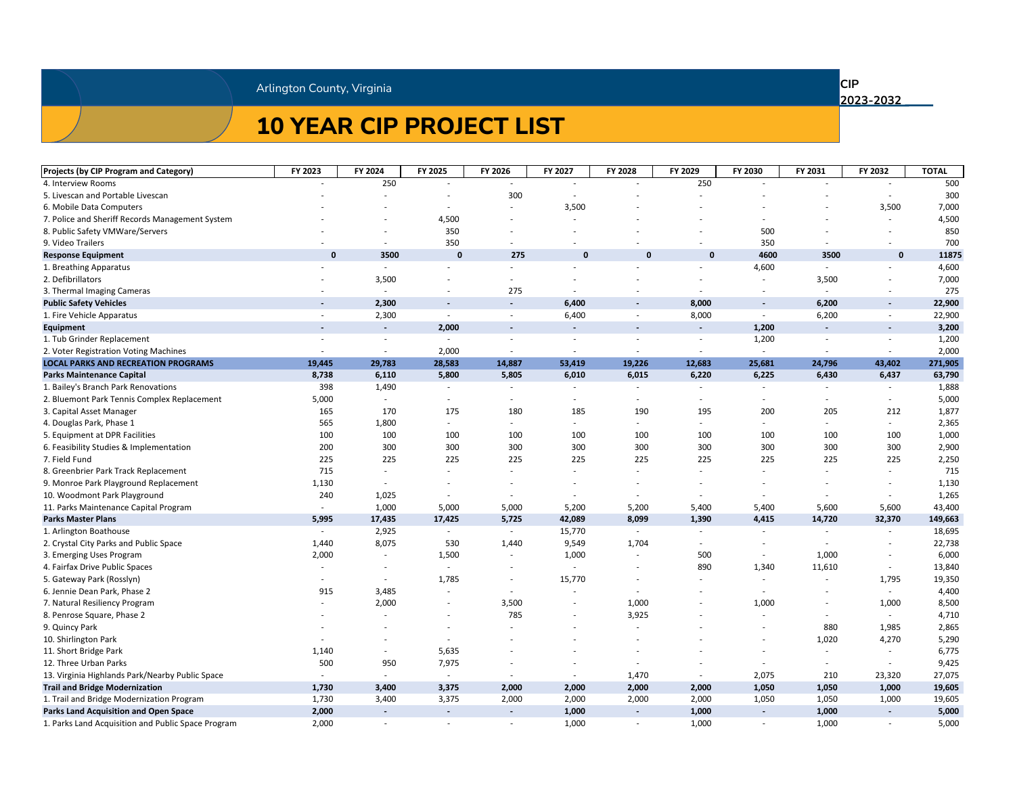# **10 YEAR CIP PROJECT LIST**

**CIP** 

| <b>Projects (by CIP Program and Category)</b>      | FY 2023                  | FY 2024                  | FY 2025                  | FY 2026                  | FY 2027                  | FY 2028                  | FY 2029                  | FY 2030 | FY 2031                  | FY 2032     | <b>TOTAL</b> |
|----------------------------------------------------|--------------------------|--------------------------|--------------------------|--------------------------|--------------------------|--------------------------|--------------------------|---------|--------------------------|-------------|--------------|
| 4. Interview Rooms                                 |                          | 250                      |                          |                          |                          |                          | 250                      |         |                          |             | 500          |
| 5. Livescan and Portable Livescan                  |                          |                          |                          | 300                      |                          |                          |                          |         |                          |             | 300          |
| 6. Mobile Data Computers                           |                          |                          |                          | $\overline{\phantom{a}}$ | 3,500                    |                          |                          |         |                          | 3,500       | 7,000        |
| 7. Police and Sheriff Records Management System    |                          |                          | 4,500                    |                          |                          |                          |                          |         |                          |             | 4,500        |
| 8. Public Safety VMWare/Servers                    |                          |                          | 350                      |                          |                          |                          |                          | 500     |                          |             | 850          |
| 9. Video Trailers                                  |                          | $\overline{\phantom{a}}$ | 350                      |                          |                          |                          |                          | 350     |                          |             | 700          |
| <b>Response Equipment</b>                          | $\mathbf 0$              | 3500                     | $\mathbf 0$              | 275                      | $\mathbf 0$              | $\mathbf 0$              | $\mathbf 0$              | 4600    | 3500                     | $\mathbf 0$ | 11875        |
| 1. Breathing Apparatus                             |                          |                          |                          | -                        |                          |                          |                          | 4,600   |                          |             | 4,600        |
| 2. Defibrillators                                  |                          | 3,500                    |                          |                          |                          |                          |                          |         | 3,500                    |             | 7,000        |
| 3. Thermal Imaging Cameras                         |                          |                          |                          | 275                      |                          |                          |                          |         |                          |             | 275          |
| <b>Public Safety Vehicles</b>                      | $\sim$                   | 2,300                    | $\blacksquare$           | $\sim$                   | 6,400                    | $\sim$                   | 8,000                    | $\sim$  | 6,200                    | $\sim$      | 22,900       |
| 1. Fire Vehicle Apparatus                          |                          | 2,300                    | $\overline{\phantom{a}}$ | $\overline{\phantom{a}}$ | 6,400                    | $\overline{\phantom{a}}$ | 8,000                    |         | 6,200                    |             | 22,900       |
| <b>Equipment</b>                                   | $\overline{\phantom{a}}$ | $\blacksquare$           | 2,000                    | $\overline{\phantom{a}}$ | $\overline{\phantom{a}}$ | $\overline{\phantom{a}}$ | $\overline{\phantom{a}}$ | 1,200   | $\overline{\phantom{a}}$ | $\sim$      | 3,200        |
| 1. Tub Grinder Replacement                         |                          |                          |                          |                          |                          |                          |                          | 1,200   |                          |             | 1,200        |
| 2. Voter Registration Voting Machines              |                          |                          | 2,000                    |                          |                          |                          |                          |         |                          |             | 2,000        |
| <b>LOCAL PARKS AND RECREATION PROGRAMS</b>         | 19,445                   | 29,783                   | 28,583                   | 14,887                   | 53,419                   | 19,226                   | 12,683                   | 25,681  | 24,796                   | 43,402      | 271,905      |
| <b>Parks Maintenance Capital</b>                   | 8,738                    | 6,110                    | 5,800                    | 5,805                    | 6,010                    | 6,015                    | 6,220                    | 6,225   | 6,430                    | 6,437       | 63,790       |
| 1. Bailey's Branch Park Renovations                | 398                      | 1,490                    |                          | $\overline{\phantom{a}}$ |                          |                          |                          |         |                          |             | 1,888        |
| 2. Bluemont Park Tennis Complex Replacement        | 5,000                    |                          |                          | $\overline{\phantom{a}}$ |                          |                          |                          |         |                          |             | 5,000        |
| 3. Capital Asset Manager                           | 165                      | 170                      | 175                      | 180                      | 185                      | 190                      | 195                      | 200     | 205                      | 212         | 1,877        |
| 4. Douglas Park, Phase 1                           | 565                      | 1,800                    |                          | $\overline{\phantom{a}}$ |                          |                          |                          |         |                          |             | 2,365        |
| 5. Equipment at DPR Facilities                     | 100                      | 100                      | 100                      | 100                      | 100                      | 100                      | 100                      | 100     | 100                      | 100         | 1,000        |
| 6. Feasibility Studies & Implementation            | 200                      | 300                      | 300                      | 300                      | 300                      | 300                      | 300                      | 300     | 300                      | 300         | 2,900        |
| 7. Field Fund                                      | 225                      | 225                      | 225                      | 225                      | 225                      | 225                      | 225                      | 225     | 225                      | 225         | 2,250        |
| 8. Greenbrier Park Track Replacement               | 715                      |                          |                          |                          |                          |                          |                          |         |                          |             | 715          |
| 9. Monroe Park Playground Replacement              | 1,130                    |                          |                          |                          |                          |                          |                          |         |                          |             | 1,130        |
| 10. Woodmont Park Playground                       | 240                      | 1,025                    |                          |                          |                          |                          |                          |         |                          |             | 1,265        |
| 11. Parks Maintenance Capital Program              |                          | 1,000                    | 5,000                    | 5,000                    | 5,200                    | 5,200                    | 5,400                    | 5,400   | 5,600                    | 5,600       | 43,400       |
| <b>Parks Master Plans</b>                          | 5,995                    | 17,435                   | 17,425                   | 5,725                    | 42,089                   | 8,099                    | 1,390                    | 4,415   | 14,720                   | 32,370      | 149,663      |
| 1. Arlington Boathouse                             |                          | 2,925                    |                          |                          | 15,770                   |                          |                          |         |                          |             | 18,695       |
| 2. Crystal City Parks and Public Space             | 1,440                    | 8,075                    | 530                      | 1,440                    | 9,549                    | 1,704                    |                          |         |                          |             | 22,738       |
| 3. Emerging Uses Program                           | 2,000                    |                          | 1,500                    |                          | 1,000                    |                          | 500                      |         | 1,000                    |             | 6,000        |
| 4. Fairfax Drive Public Spaces                     |                          |                          | $\sim$                   | $\overline{\phantom{a}}$ |                          | $\overline{\phantom{a}}$ | 890                      | 1,340   | 11,610                   |             | 13,840       |
| 5. Gateway Park (Rosslyn)                          |                          |                          | 1,785                    | $\overline{\phantom{a}}$ | 15,770                   |                          |                          |         |                          | 1,795       | 19,350       |
| 6. Jennie Dean Park, Phase 2                       | 915                      | 3,485                    |                          | $\overline{\phantom{a}}$ |                          |                          |                          |         | $\overline{\phantom{a}}$ |             | 4,400        |
| 7. Natural Resiliency Program                      |                          | 2,000                    |                          | 3,500                    | $\sim$                   | 1,000                    | $\overline{\phantom{a}}$ | 1,000   | $\overline{\phantom{a}}$ | 1,000       | 8,500        |
| 8. Penrose Square, Phase 2                         |                          |                          |                          | 785                      |                          | 3,925                    |                          |         |                          |             | 4,710        |
| 9. Quincy Park                                     |                          |                          |                          |                          |                          |                          |                          |         | 880                      | 1,985       | 2,865        |
| 10. Shirlington Park                               |                          |                          |                          |                          |                          |                          |                          |         | 1,020                    | 4,270       | 5,290        |
| 11. Short Bridge Park                              | 1,140                    | $\sim$                   | 5,635                    |                          |                          |                          |                          |         |                          |             | 6,775        |
| 12. Three Urban Parks                              | 500                      | 950                      | 7,975                    |                          |                          |                          |                          |         |                          |             | 9,425        |
| 13. Virginia Highlands Park/Nearby Public Space    |                          |                          |                          |                          |                          | 1,470                    |                          | 2,075   | 210                      | 23,320      | 27,075       |
| <b>Trail and Bridge Modernization</b>              | 1,730                    | 3,400                    | 3,375                    | 2,000                    | 2,000                    | 2,000                    | 2,000                    | 1,050   | 1,050                    | 1,000       | 19,605       |
| 1. Trail and Bridge Modernization Program          | 1,730                    | 3,400                    | 3,375                    | 2,000                    | 2,000                    | 2,000                    | 2,000                    | 1,050   | 1,050                    | 1,000       | 19,605       |
| <b>Parks Land Acquisition and Open Space</b>       | 2,000                    | $\sim$                   | $\sim$                   | $\sim$                   | 1,000                    | $\sim$                   | 1,000                    | $\sim$  | 1,000                    | $\sim$      | 5,000        |
| 1. Parks Land Acquisition and Public Space Program | 2,000                    | $\overline{\phantom{a}}$ | $\overline{\phantom{a}}$ | $\overline{\phantom{a}}$ | 1,000                    | $\overline{\phantom{a}}$ | 1,000                    |         | 1,000                    |             | 5,000        |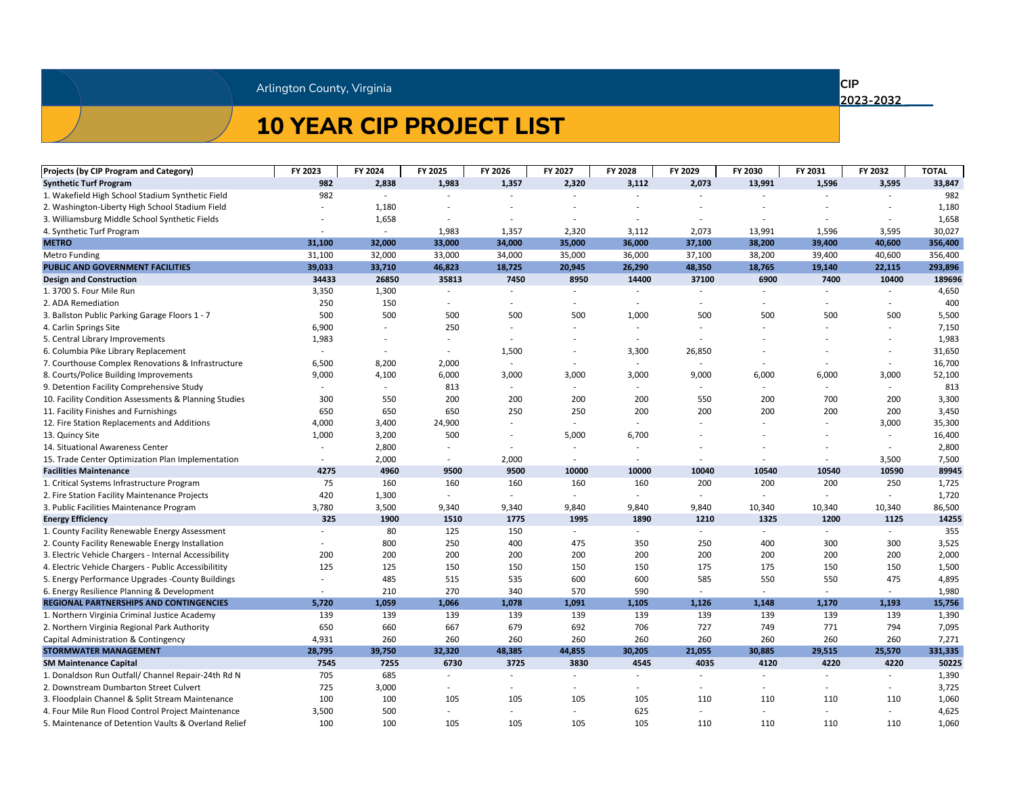# **10 YEAR CIP PROJECT LIST**

**CIP** 

| <b>Projects (by CIP Program and Category)</b>         | FY 2023                  | FY 2024                  | FY 2025                  | FY 2026                  | FY 2027                  | FY 2028 | FY 2029                  | FY 2030 | FY 2031 | FY 2032 | <b>TOTAL</b> |
|-------------------------------------------------------|--------------------------|--------------------------|--------------------------|--------------------------|--------------------------|---------|--------------------------|---------|---------|---------|--------------|
| <b>Synthetic Turf Program</b>                         | 982                      | 2,838                    | 1,983                    | 1,357                    | 2,320                    | 3,112   | 2,073                    | 13,991  | 1,596   | 3,595   | 33,847       |
| 1. Wakefield High School Stadium Synthetic Field      | 982                      |                          |                          |                          |                          |         |                          |         |         |         | 982          |
| 2. Washington-Liberty High School Stadium Field       |                          | 1,180                    |                          |                          |                          |         |                          |         |         |         | 1,180        |
| 3. Williamsburg Middle School Synthetic Fields        |                          | 1,658                    |                          |                          |                          |         |                          |         |         |         | 1,658        |
| 4. Synthetic Turf Program                             |                          |                          | 1,983                    | 1,357                    | 2,320                    | 3,112   | 2,073                    | 13,991  | 1,596   | 3,595   | 30,027       |
| <b>METRO</b>                                          | 31,100                   | 32,000                   | 33,000                   | 34,000                   | 35,000                   | 36,000  | 37,100                   | 38,200  | 39,400  | 40,600  | 356,400      |
| <b>Metro Funding</b>                                  | 31,100                   | 32,000                   | 33,000                   | 34,000                   | 35,000                   | 36,000  | 37,100                   | 38,200  | 39,400  | 40,600  | 356,400      |
| PUBLIC AND GOVERNMENT FACILITIES                      | 39,033                   | 33,710                   | 46,823                   | 18,725                   | 20,945                   | 26,290  | 48,350                   | 18,765  | 19,140  | 22,115  | 293,896      |
| <b>Design and Construction</b>                        | 34433                    | 26850                    | 35813                    | 7450                     | 8950                     | 14400   | 37100                    | 6900    | 7400    | 10400   | 189696       |
| 1. 3700 S. Four Mile Run                              | 3,350                    | 1,300                    |                          |                          |                          |         |                          |         |         |         | 4,650        |
| 2. ADA Remediation                                    | 250                      | 150                      |                          | $\overline{\phantom{a}}$ |                          |         |                          |         |         |         | 400          |
| 3. Ballston Public Parking Garage Floors 1 - 7        | 500                      | 500                      | 500                      | 500                      | 500                      | 1,000   | 500                      | 500     | 500     | 500     | 5,500        |
| 4. Carlin Springs Site                                | 6,900                    |                          | 250                      |                          |                          |         |                          |         |         |         | 7,150        |
| 5. Central Library Improvements                       | 1,983                    |                          | $\sim$                   |                          |                          |         |                          |         |         |         | 1,983        |
| 6. Columbia Pike Library Replacement                  |                          |                          | $\overline{\phantom{a}}$ | 1,500                    |                          | 3,300   | 26,850                   |         |         |         | 31,650       |
| 7. Courthouse Complex Renovations & Infrastructure    | 6,500                    | 8,200                    | 2,000                    | $\overline{a}$           | $\overline{\phantom{a}}$ | $\sim$  |                          |         |         |         | 16,700       |
| 8. Courts/Police Building Improvements                | 9,000                    | 4,100                    | 6,000                    | 3,000                    | 3,000                    | 3,000   | 9,000                    | 6,000   | 6,000   | 3,000   | 52,100       |
| 9. Detention Facility Comprehensive Study             |                          | $\overline{\phantom{a}}$ | 813                      | $\sim$                   | $\sim$                   | $\sim$  | $\overline{\phantom{a}}$ |         |         |         | 813          |
| 10. Facility Condition Assessments & Planning Studies | 300                      | 550                      | 200                      | 200                      | 200                      | 200     | 550                      | 200     | 700     | 200     | 3,300        |
| 11. Facility Finishes and Furnishings                 | 650                      | 650                      | 650                      | 250                      | 250                      | 200     | 200                      | 200     | 200     | 200     | 3,450        |
| 12. Fire Station Replacements and Additions           | 4,000                    | 3,400                    | 24,900                   | $\sim$                   |                          |         |                          |         |         | 3,000   | 35,300       |
| 13. Quincy Site                                       | 1,000                    | 3,200                    | 500                      | $\overline{\phantom{a}}$ | 5,000                    | 6,700   |                          |         |         |         | 16,400       |
| 14. Situational Awareness Center                      |                          | 2,800                    | $\sim$                   | $\overline{\phantom{a}}$ |                          |         |                          |         |         |         | 2,800        |
| 15. Trade Center Optimization Plan Implementation     |                          | 2,000                    |                          | 2,000                    |                          |         |                          |         |         | 3,500   | 7,500        |
| <b>Facilities Maintenance</b>                         | 4275                     | 4960                     | 9500                     | 9500                     | 10000                    | 10000   | 10040                    | 10540   | 10540   | 10590   | 89945        |
| 1. Critical Systems Infrastructure Program            | 75                       | 160                      | 160                      | 160                      | 160                      | 160     | 200                      | 200     | 200     | 250     | 1,725        |
| 2. Fire Station Facility Maintenance Projects         | 420                      | 1,300                    |                          | $\overline{\phantom{a}}$ |                          |         |                          |         |         |         | 1,720        |
| 3. Public Facilities Maintenance Program              | 3,780                    | 3,500                    | 9,340                    | 9,340                    | 9,840                    | 9,840   | 9,840                    | 10,340  | 10,340  | 10,340  | 86,500       |
| <b>Energy Efficiency</b>                              | 325                      | 1900                     | 1510                     | 1775                     | 1995                     | 1890    | 1210                     | 1325    | 1200    | 1125    | 14255        |
| 1. County Facility Renewable Energy Assessment        |                          | 80                       | 125                      | 150                      |                          |         |                          |         |         |         | 355          |
| 2. County Facility Renewable Energy Installation      |                          | 800                      | 250                      | 400                      | 475                      | 350     | 250                      | 400     | 300     | 300     | 3,525        |
| 3. Electric Vehicle Chargers - Internal Accessibility | 200                      | 200                      | 200                      | 200                      | 200                      | 200     | 200                      | 200     | 200     | 200     | 2,000        |
| 4. Electric Vehicle Chargers - Public Accessibilitity | 125                      | 125                      | 150                      | 150                      | 150                      | 150     | 175                      | 175     | 150     | 150     | 1,500        |
| 5. Energy Performance Upgrades -County Buildings      |                          | 485                      | 515                      | 535                      | 600                      | 600     | 585                      | 550     | 550     | 475     | 4,895        |
| 6. Energy Resilience Planning & Development           | $\overline{\phantom{a}}$ | 210                      | 270                      | 340                      | 570                      | 590     |                          |         |         |         | 1,980        |
| <b>REGIONAL PARTNERSHIPS AND CONTINGENCIES</b>        | 5,720                    | 1,059                    | 1,066                    | 1,078                    | 1,091                    | 1,105   | 1,126                    | 1,148   | 1,170   | 1,193   | 15,756       |
| 1. Northern Virginia Criminal Justice Academy         | 139                      | 139                      | 139                      | 139                      | 139                      | 139     | 139                      | 139     | 139     | 139     | 1,390        |
| 2. Northern Virginia Regional Park Authority          | 650                      | 660                      | 667                      | 679                      | 692                      | 706     | 727                      | 749     | 771     | 794     | 7,095        |
| Capital Administration & Contingency                  | 4,931                    | 260                      | 260                      | 260                      | 260                      | 260     | 260                      | 260     | 260     | 260     | 7,271        |
| <b>STORMWATER MANAGEMENT</b>                          | 28,795                   | 39,750                   | 32,320                   | 48,385                   | 44,855                   | 30,205  | 21,055                   | 30,885  | 29,515  | 25,570  | 331,335      |
| <b>SM Maintenance Capital</b>                         | 7545                     | 7255                     | 6730                     | 3725                     | 3830                     | 4545    | 4035                     | 4120    | 4220    | 4220    | 50225        |
| 1. Donaldson Run Outfall/ Channel Repair-24th Rd N    | 705                      | 685                      |                          |                          |                          |         |                          |         |         |         | 1,390        |
| 2. Downstream Dumbarton Street Culvert                | 725                      | 3,000                    | $\sim$                   | $\overline{\phantom{a}}$ |                          |         |                          |         |         | $ \,$   | 3,725        |
| 3. Floodplain Channel & Split Stream Maintenance      | 100                      | 100                      | 105                      | 105                      | 105                      | 105     | 110                      | 110     | 110     | 110     | 1,060        |
| 4. Four Mile Run Flood Control Project Maintenance    | 3,500                    | 500                      |                          | $\overline{\phantom{a}}$ |                          | 625     |                          |         |         |         | 4,625        |
| 5. Maintenance of Detention Vaults & Overland Relief  | 100                      | 100                      | 105                      | 105                      | 105                      | 105     | 110                      | 110     | 110     | 110     | 1,060        |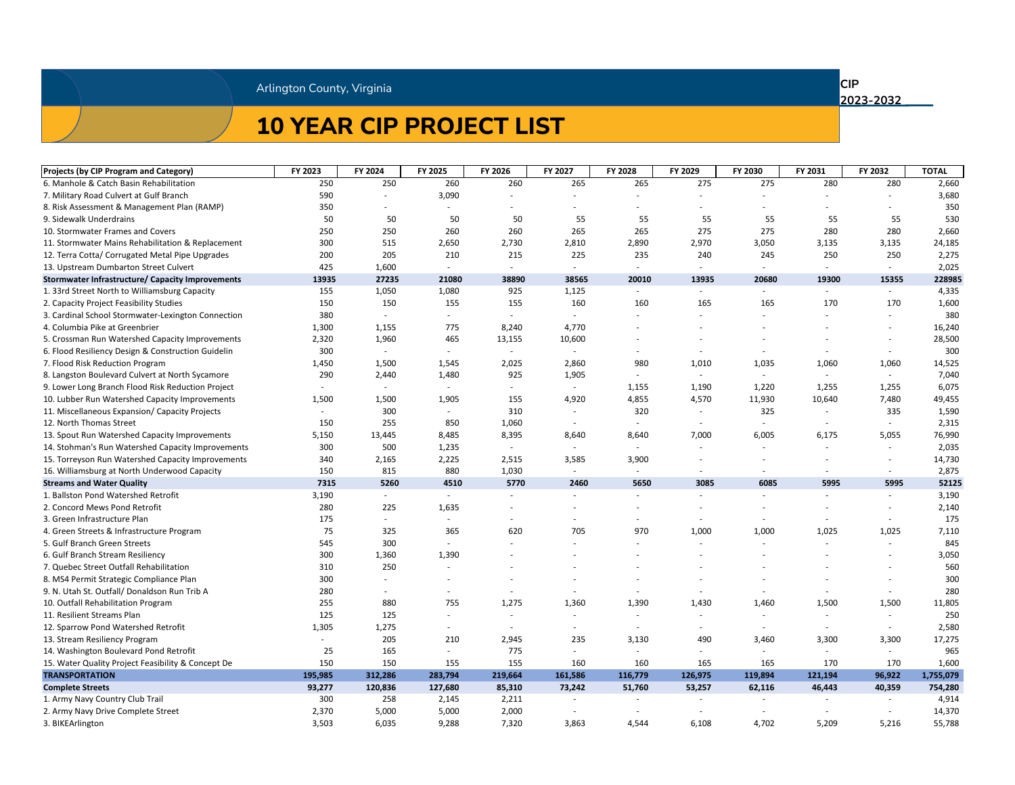# **10 YEAR CIP PROJECT LIST**

**CIP** 

| <b>Projects (by CIP Program and Category)</b>           | FY 2023                  | FY 2024                  | FY 2025                  | FY 2026                  | FY 2027                  | FY 2028                  | FY 2029                  | FY 2030                  | FY 2031                  | FY 2032                  | <b>TOTAL</b> |
|---------------------------------------------------------|--------------------------|--------------------------|--------------------------|--------------------------|--------------------------|--------------------------|--------------------------|--------------------------|--------------------------|--------------------------|--------------|
| 6. Manhole & Catch Basin Rehabilitation                 | 250                      | 250                      | 260                      | 260                      | 265                      | 265                      | 275                      | 275                      | 280                      | 280                      | 2,660        |
| 7. Military Road Culvert at Gulf Branch                 | 590                      |                          | 3,090                    |                          |                          |                          |                          |                          |                          |                          | 3,680        |
| 8. Risk Assessment & Management Plan (RAMP)             | 350                      |                          |                          |                          |                          |                          |                          |                          |                          |                          | 350          |
| 9. Sidewalk Underdrains                                 | 50                       | 50                       | 50                       | 50                       | 55                       | 55                       | 55                       | 55                       | 55                       | 55                       | 530          |
| 10. Stormwater Frames and Covers                        | 250                      | 250                      | 260                      | 260                      | 265                      | 265                      | 275                      | 275                      | 280                      | 280                      | 2,660        |
| 11. Stormwater Mains Rehabilitation & Replacement       | 300                      | 515                      | 2,650                    | 2,730                    | 2,810                    | 2,890                    | 2,970                    | 3,050                    | 3,135                    | 3,135                    | 24,185       |
| 12. Terra Cotta/ Corrugated Metal Pipe Upgrades         | 200                      | 205                      | 210                      | 215                      | 225                      | 235                      | 240                      | 245                      | 250                      | 250                      | 2,275        |
| 13. Upstream Dumbarton Street Culvert                   | 425                      | 1,600                    | $\sim$                   | $\overline{\phantom{a}}$ | $\sim$                   | $\overline{\phantom{a}}$ | $\overline{\phantom{a}}$ | $\overline{\phantom{a}}$ | $\overline{\phantom{a}}$ | $\sim$                   | 2,025        |
| <b>Stormwater Infrastructure/ Capacity Improvements</b> | 13935                    | 27235                    | 21080                    | 38890                    | 38565                    | 20010                    | 13935                    | 20680                    | 19300                    | 15355                    | 228985       |
| 1. 33rd Street North to Williamsburg Capacity           | 155                      | 1,050                    | 1,080                    | 925                      | 1,125                    | $\overline{\phantom{a}}$ | $\overline{\phantom{a}}$ | $\overline{\phantom{a}}$ |                          | $\sim$                   | 4,335        |
| 2. Capacity Project Feasibility Studies                 | 150                      | 150                      | 155                      | 155                      | 160                      | 160                      | 165                      | 165                      | 170                      | 170                      | 1,600        |
| 3. Cardinal School Stormwater-Lexington Connection      | 380                      |                          |                          |                          |                          |                          |                          |                          |                          |                          | 380          |
| 4. Columbia Pike at Greenbrier                          | 1,300                    | 1,155                    | 775                      | 8,240                    | 4,770                    |                          |                          |                          |                          |                          | 16,240       |
| 5. Crossman Run Watershed Capacity Improvements         | 2,320                    | 1,960                    | 465                      | 13,155                   | 10,600                   |                          |                          |                          |                          |                          | 28,500       |
| 6. Flood Resiliency Design & Construction Guidelin      | 300                      |                          |                          |                          |                          |                          |                          |                          |                          |                          | 300          |
| 7. Flood Risk Reduction Program                         | 1,450                    | 1,500                    | 1,545                    | 2,025                    | 2,860                    | 980                      | 1,010                    | 1,035                    | 1,060                    | 1,060                    | 14,525       |
| 8. Langston Boulevard Culvert at North Sycamore         | 290                      | 2,440                    | 1,480                    | 925                      | 1,905                    |                          |                          |                          |                          |                          | 7,040        |
| 9. Lower Long Branch Flood Risk Reduction Project       | $\overline{\phantom{a}}$ | $\overline{\phantom{a}}$ | $\sim$                   | $\overline{\phantom{a}}$ | $\sim$                   | 1,155                    | 1,190                    | 1,220                    | 1,255                    | 1,255                    | 6,075        |
| 10. Lubber Run Watershed Capacity Improvements          | 1,500                    | 1,500                    | 1,905                    | 155                      | 4,920                    | 4,855                    | 4,570                    | 11,930                   | 10,640                   | 7,480                    | 49,455       |
| 11. Miscellaneous Expansion/ Capacity Projects          |                          | 300                      |                          | 310                      |                          | 320                      |                          | 325                      |                          | 335                      | 1,590        |
| 12. North Thomas Street                                 | 150                      | 255                      | 850                      | 1,060                    | $\sim$                   | $\overline{\phantom{a}}$ | $\overline{\phantom{a}}$ | $\overline{\phantom{a}}$ |                          |                          | 2,315        |
| 13. Spout Run Watershed Capacity Improvements           | 5,150                    | 13,445                   | 8,485                    | 8,395                    | 8,640                    | 8,640                    | 7,000                    | 6,005                    | 6,175                    | 5,055                    | 76,990       |
| 14. Stohman's Run Watershed Capacity Improvements       | 300                      | 500                      | 1,235                    | $\overline{\phantom{a}}$ | $\sim$                   | $\overline{\phantom{a}}$ | $\overline{\phantom{a}}$ |                          |                          |                          | 2,035        |
| 15. Torreyson Run Watershed Capacity Improvements       | 340                      | 2,165                    | 2,225                    | 2,515                    | 3,585                    | 3,900                    |                          |                          |                          |                          | 14,730       |
| 16. Williamsburg at North Underwood Capacity            | 150                      | 815                      | 880                      | 1,030                    | $\sim$                   |                          |                          |                          |                          | $\overline{\phantom{a}}$ | 2,875        |
| <b>Streams and Water Quality</b>                        | 7315                     | 5260                     | 4510                     | 5770                     | 2460                     | 5650                     | 3085                     | 6085                     | 5995                     | 5995                     | 52125        |
| 1. Ballston Pond Watershed Retrofit                     | 3,190                    |                          | $\sim$                   | $\overline{\phantom{a}}$ | $\sim$                   |                          |                          |                          |                          |                          | 3,190        |
| 2. Concord Mews Pond Retrofit                           | 280                      | 225                      | 1,635                    |                          |                          |                          |                          |                          |                          |                          | 2,140        |
| 3. Green Infrastructure Plan                            | 175                      | $\sim$                   |                          |                          |                          |                          |                          |                          |                          |                          | 175          |
| 4. Green Streets & Infrastructure Program               | 75                       | 325                      | 365                      | 620                      | 705                      | 970                      | 1,000                    | 1,000                    | 1,025                    | 1,025                    | 7,110        |
| 5. Gulf Branch Green Streets                            | 545                      | 300                      |                          |                          |                          |                          |                          |                          |                          |                          | 845          |
| 6. Gulf Branch Stream Resiliency                        | 300                      | 1,360                    | 1,390                    |                          |                          |                          |                          |                          |                          |                          | 3,050        |
| 7. Quebec Street Outfall Rehabilitation                 | 310                      | 250                      |                          |                          |                          |                          |                          |                          |                          |                          | 560          |
| 8. MS4 Permit Strategic Compliance Plan                 | 300                      |                          |                          |                          |                          |                          |                          |                          |                          |                          | 300          |
| 9. N. Utah St. Outfall/ Donaldson Run Trib A            | 280                      | $\sim$                   | $\sim$                   |                          | $\overline{\phantom{a}}$ |                          | $\overline{\phantom{a}}$ |                          |                          | $\overline{\phantom{a}}$ | 280          |
| 10. Outfall Rehabilitation Program                      | 255                      | 880                      | 755                      | 1,275                    | 1,360                    | 1,390                    | 1,430                    | 1,460                    | 1,500                    | 1,500                    | 11,805       |
| 11. Resilient Streams Plan                              | 125                      | 125                      |                          |                          |                          |                          |                          |                          |                          |                          | 250          |
| 12. Sparrow Pond Watershed Retrofit                     | 1,305                    | 1,275                    | $\sim$                   | $\overline{\phantom{a}}$ |                          |                          |                          |                          |                          |                          | 2,580        |
| 13. Stream Resiliency Program                           |                          | 205                      | 210                      | 2,945                    | 235                      | 3,130                    | 490                      | 3,460                    | 3,300                    | 3,300                    | 17,275       |
| 14. Washington Boulevard Pond Retrofit                  | 25                       | 165                      | $\overline{\phantom{a}}$ | 775                      |                          |                          |                          |                          |                          |                          | 965          |
| 15. Water Quality Project Feasibility & Concept De      | 150                      | 150                      | 155                      | 155                      | 160                      | 160                      | 165                      | 165                      | 170                      | 170                      | 1,600        |
| <b>TRANSPORTATION</b>                                   | 195,985                  | 312,286                  | 283,794                  | 219,664                  | 161,586                  | 116,779                  | 126,975                  | 119,894                  | 121,194                  | 96,922                   | 1,755,079    |
| <b>Complete Streets</b>                                 | 93,277                   | 120,836                  | 127,680                  | 85,310                   | 73,242                   | 51,760                   | 53,257                   | 62,116                   | 46,443                   | 40,359                   | 754,280      |
| 1. Army Navy Country Club Trail                         | 300                      | 258                      | 2,145                    | 2,211                    |                          |                          |                          |                          |                          |                          | 4,914        |
| 2. Army Navy Drive Complete Street                      | 2,370                    | 5,000                    | 5,000                    | 2,000                    |                          |                          |                          |                          |                          |                          | 14,370       |
| 3. BIKEArlington                                        | 3,503                    | 6,035                    | 9,288                    | 7,320                    | 3,863                    | 4,544                    | 6,108                    | 4,702                    | 5,209                    | 5,216                    | 55,788       |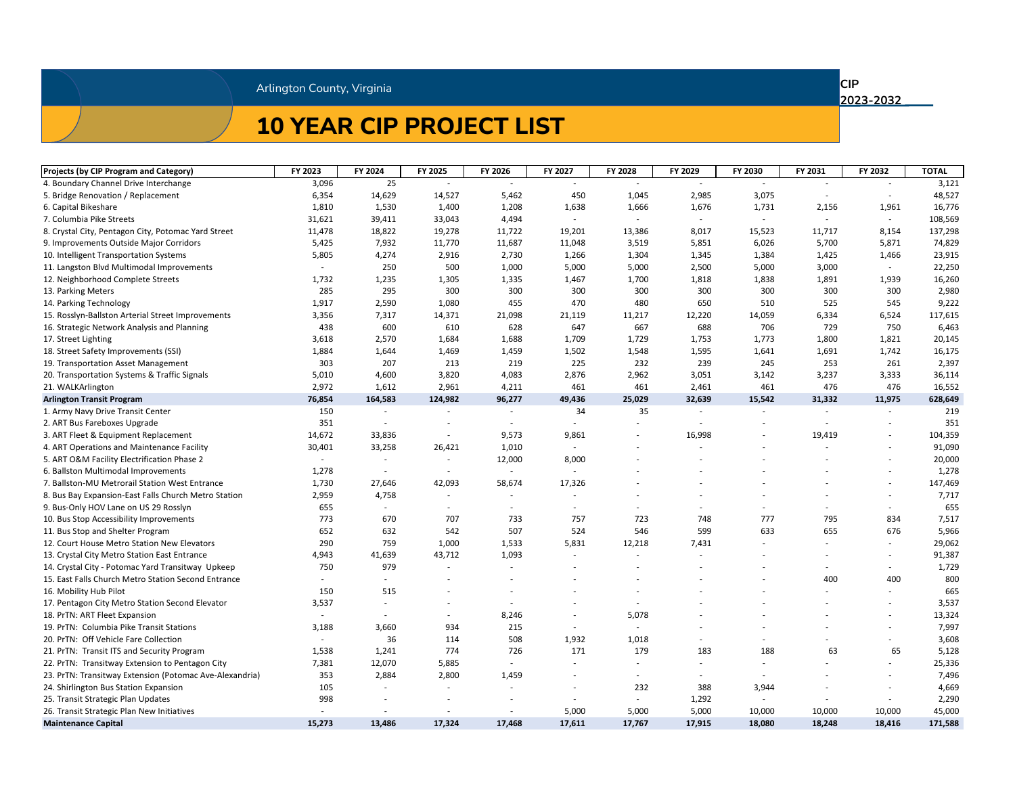### **10 YEAR CIP PROJECT LIST**

**CIP** 

| <b>Projects (by CIP Program and Category)</b>           | FY 2023 | FY 2024                  | FY 2025                  | FY 2026                  | FY 2027                  | FY 2028                  | FY 2029                  | FY 2030                  | FY 2031 | FY 2032 | <b>TOTAL</b> |
|---------------------------------------------------------|---------|--------------------------|--------------------------|--------------------------|--------------------------|--------------------------|--------------------------|--------------------------|---------|---------|--------------|
| 4. Boundary Channel Drive Interchange                   | 3,096   | 25                       |                          |                          |                          |                          |                          |                          |         |         | 3,121        |
| 5. Bridge Renovation / Replacement                      | 6,354   | 14,629                   | 14,527                   | 5,462                    | 450                      | 1,045                    | 2,985                    | 3,075                    |         |         | 48,527       |
| 6. Capital Bikeshare                                    | 1,810   | 1,530                    | 1,400                    | 1,208                    | 1,638                    | 1,666                    | 1,676                    | 1,731                    | 2,156   | 1,961   | 16,776       |
| 7. Columbia Pike Streets                                | 31,621  | 39,411                   | 33,043                   | 4,494                    |                          |                          | $\overline{\phantom{a}}$ | $\overline{\phantom{0}}$ |         | $\sim$  | 108,569      |
| 8. Crystal City, Pentagon City, Potomac Yard Street     | 11,478  | 18,822                   | 19,278                   | 11,722                   | 19,201                   | 13,386                   | 8,017                    | 15,523                   | 11,717  | 8,154   | 137,298      |
| 9. Improvements Outside Major Corridors                 | 5,425   | 7,932                    | 11,770                   | 11,687                   | 11,048                   | 3,519                    | 5,851                    | 6,026                    | 5,700   | 5,871   | 74,829       |
| 10. Intelligent Transportation Systems                  | 5,805   | 4,274                    | 2,916                    | 2,730                    | 1,266                    | 1,304                    | 1,345                    | 1,384                    | 1,425   | 1,466   | 23,915       |
| 11. Langston Blvd Multimodal Improvements               |         | 250                      | 500                      | 1,000                    | 5,000                    | 5,000                    | 2,500                    | 5,000                    | 3,000   | $\sim$  | 22,250       |
| 12. Neighborhood Complete Streets                       | 1,732   | 1,235                    | 1,305                    | 1,335                    | 1,467                    | 1,700                    | 1,818                    | 1,838                    | 1,891   | 1,939   | 16,260       |
| 13. Parking Meters                                      | 285     | 295                      | 300                      | 300                      | 300                      | 300                      | 300                      | 300                      | 300     | 300     | 2,980        |
| 14. Parking Technology                                  | 1,917   | 2,590                    | 1,080                    | 455                      | 470                      | 480                      | 650                      | 510                      | 525     | 545     | 9,222        |
| 15. Rosslyn-Ballston Arterial Street Improvements       | 3,356   | 7,317                    | 14,371                   | 21,098                   | 21,119                   | 11,217                   | 12,220                   | 14,059                   | 6,334   | 6,524   | 117,615      |
| 16. Strategic Network Analysis and Planning             | 438     | 600                      | 610                      | 628                      | 647                      | 667                      | 688                      | 706                      | 729     | 750     | 6,463        |
| 17. Street Lighting                                     | 3,618   | 2,570                    | 1,684                    | 1,688                    | 1,709                    | 1,729                    | 1,753                    | 1,773                    | 1,800   | 1,821   | 20,145       |
| 18. Street Safety Improvements (SSI)                    | 1,884   | 1,644                    | 1,469                    | 1,459                    | 1,502                    | 1,548                    | 1,595                    | 1,641                    | 1,691   | 1,742   | 16,175       |
| 19. Transportation Asset Management                     | 303     | 207                      | 213                      | 219                      | 225                      | 232                      | 239                      | 245                      | 253     | 261     | 2,397        |
| 20. Transportation Systems & Traffic Signals            | 5,010   | 4,600                    | 3,820                    | 4,083                    | 2,876                    | 2,962                    | 3,051                    | 3,142                    | 3,237   | 3,333   | 36,114       |
| 21. WALKArlington                                       | 2,972   | 1,612                    | 2,961                    | 4,211                    | 461                      | 461                      | 2,461                    | 461                      | 476     | 476     | 16,552       |
| <b>Arlington Transit Program</b>                        | 76,854  | 164,583                  | 124,982                  | 96,277                   | 49,436                   | 25,029                   | 32,639                   | 15,542                   | 31,332  | 11,975  | 628,649      |
| 1. Army Navy Drive Transit Center                       | 150     |                          |                          |                          | 34                       | 35                       |                          |                          |         |         | 219          |
| 2. ART Bus Fareboxes Upgrade                            | 351     |                          |                          | $\overline{\phantom{a}}$ |                          |                          |                          |                          |         |         | 351          |
| 3. ART Fleet & Equipment Replacement                    | 14,672  | 33,836                   |                          | 9,573                    | 9,861                    | $\overline{\phantom{a}}$ | 16,998                   |                          | 19,419  |         | 104,359      |
| 4. ART Operations and Maintenance Facility              | 30,401  | 33,258                   | 26,421                   | 1,010                    | $\overline{\phantom{a}}$ |                          |                          |                          |         |         | 91,090       |
| 5. ART O&M Facility Electrification Phase 2             |         |                          |                          | 12,000                   | 8,000                    |                          |                          |                          |         |         | 20,000       |
| 6. Ballston Multimodal Improvements                     | 1,278   | $\overline{\phantom{a}}$ | $\overline{\phantom{a}}$ |                          |                          |                          |                          |                          |         |         | 1,278        |
| 7. Ballston-MU Metrorail Station West Entrance          | 1,730   | 27,646                   | 42,093                   | 58,674                   | 17,326                   |                          |                          |                          |         |         | 147,469      |
| 8. Bus Bay Expansion-East Falls Church Metro Station    | 2,959   | 4,758                    |                          |                          |                          |                          |                          |                          |         |         | 7,717        |
| 9. Bus-Only HOV Lane on US 29 Rosslyn                   | 655     |                          |                          |                          |                          |                          |                          |                          |         |         | 655          |
| 10. Bus Stop Accessibility Improvements                 | 773     | 670                      | 707                      | 733                      | 757                      | 723                      | 748                      | 777                      | 795     | 834     | 7,517        |
| 11. Bus Stop and Shelter Program                        | 652     | 632                      | 542                      | 507                      | 524                      | 546                      | 599                      | 633                      | 655     | 676     | 5,966        |
| 12. Court House Metro Station New Elevators             | 290     | 759                      | 1,000                    | 1,533                    | 5,831                    | 12,218                   | 7,431                    |                          |         |         | 29,062       |
| 13. Crystal City Metro Station East Entrance            | 4,943   | 41,639                   | 43,712                   | 1,093                    |                          |                          |                          |                          |         |         | 91,387       |
| 14. Crystal City - Potomac Yard Transitway Upkeep       | 750     | 979                      |                          |                          |                          |                          |                          |                          |         |         | 1,729        |
| 15. East Falls Church Metro Station Second Entrance     |         |                          |                          |                          |                          |                          |                          |                          | 400     | 400     | 800          |
| 16. Mobility Hub Pilot                                  | 150     | 515                      |                          |                          |                          |                          |                          |                          |         |         | 665          |
| 17. Pentagon City Metro Station Second Elevator         | 3,537   | $\overline{\phantom{a}}$ |                          |                          |                          |                          |                          |                          |         |         | 3,537        |
| 18. PrTN: ART Fleet Expansion                           |         |                          |                          | 8,246                    |                          | 5,078                    |                          |                          |         |         | 13,324       |
| 19. PrTN: Columbia Pike Transit Stations                | 3,188   | 3,660                    | 934                      | 215                      |                          |                          |                          |                          |         |         | 7,997        |
| 20. PrTN: Off Vehicle Fare Collection                   |         | 36                       | 114                      | 508                      | 1,932                    | 1,018                    |                          |                          |         |         | 3,608        |
| 21. PrTN: Transit ITS and Security Program              | 1,538   | 1,241                    | 774                      | 726                      | 171                      | 179                      | 183                      | 188                      | 63      | 65      | 5,128        |
| 22. PrTN: Transitway Extension to Pentagon City         | 7,381   | 12,070                   | 5,885                    | $\overline{\phantom{a}}$ |                          |                          |                          |                          |         |         | 25,336       |
| 23. PrTN: Transitway Extension (Potomac Ave-Alexandria) | 353     | 2,884                    | 2,800                    | 1,459                    |                          |                          |                          |                          |         |         | 7,496        |
| 24. Shirlington Bus Station Expansion                   | 105     |                          |                          | $\overline{\phantom{a}}$ |                          | 232                      | 388                      | 3,944                    |         |         | 4,669        |
| 25. Transit Strategic Plan Updates                      | 998     |                          |                          | $\overline{\phantom{a}}$ |                          |                          | 1,292                    |                          |         |         | 2,290        |
| 26. Transit Strategic Plan New Initiatives              |         |                          | $\overline{\phantom{a}}$ | $\overline{\phantom{a}}$ | 5,000                    | 5,000                    | 5,000                    | 10,000                   | 10,000  | 10,000  | 45,000       |
| <b>Maintenance Capital</b>                              | 15,273  | 13,486                   | 17,324                   | 17,468                   | 17,611                   | 17,767                   | 17,915                   | 18,080                   | 18,248  | 18,416  | 171,588      |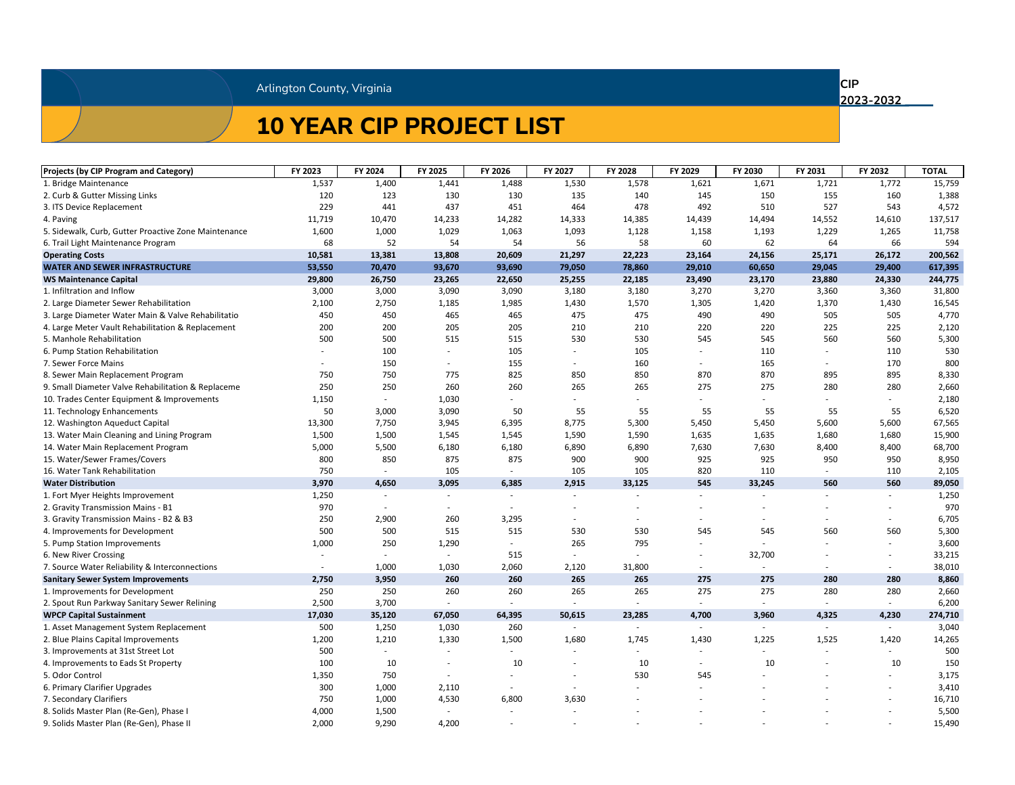### **10 YEAR CIP PROJECT LIST**

**CIP** 

| <b>Projects (by CIP Program and Category)</b>        | FY 2023 | FY 2024                  | FY 2025                  | FY 2026                  | FY 2027                  | FY 2028                  | FY 2029                  | FY 2030                  | FY 2031 | FY 2032 | <b>TOTAL</b> |
|------------------------------------------------------|---------|--------------------------|--------------------------|--------------------------|--------------------------|--------------------------|--------------------------|--------------------------|---------|---------|--------------|
| 1. Bridge Maintenance                                | 1,537   | 1,400                    | 1,441                    | 1,488                    | 1,530                    | 1,578                    | 1,621                    | 1,671                    | 1,721   | 1,772   | 15,759       |
| 2. Curb & Gutter Missing Links                       | 120     | 123                      | 130                      | 130                      | 135                      | 140                      | 145                      | 150                      | 155     | 160     | 1,388        |
| 3. ITS Device Replacement                            | 229     | 441                      | 437                      | 451                      | 464                      | 478                      | 492                      | 510                      | 527     | 543     | 4,572        |
| 4. Paving                                            | 11,719  | 10,470                   | 14,233                   | 14,282                   | 14,333                   | 14,385                   | 14,439                   | 14,494                   | 14,552  | 14,610  | 137,517      |
| 5. Sidewalk, Curb, Gutter Proactive Zone Maintenance | 1,600   | 1,000                    | 1,029                    | 1,063                    | 1,093                    | 1,128                    | 1,158                    | 1,193                    | 1,229   | 1,265   | 11,758       |
| 6. Trail Light Maintenance Program                   | 68      | 52                       | 54                       | 54                       | 56                       | 58                       | 60                       | 62                       | 64      | 66      | 594          |
| <b>Operating Costs</b>                               | 10,581  | 13,381                   | 13,808                   | 20,609                   | 21,297                   | 22,223                   | 23,164                   | 24,156                   | 25,171  | 26,172  | 200,562      |
| <b>WATER AND SEWER INFRASTRUCTURE</b>                | 53,550  | 70,470                   | 93,670                   | 93,690                   | 79,050                   | 78,860                   | 29,010                   | 60,650                   | 29,045  | 29,400  | 617,395      |
| <b>WS Maintenance Capital</b>                        | 29,800  | 26,750                   | 23,265                   | 22,650                   | 25,255                   | 22,185                   | 23,490                   | 23,170                   | 23,880  | 24,330  | 244,775      |
| 1. Infiltration and Inflow                           | 3,000   | 3,000                    | 3,090                    | 3,090                    | 3,180                    | 3,180                    | 3,270                    | 3,270                    | 3,360   | 3,360   | 31,800       |
| 2. Large Diameter Sewer Rehabilitation               | 2,100   | 2,750                    | 1,185                    | 1,985                    | 1,430                    | 1,570                    | 1,305                    | 1,420                    | 1,370   | 1,430   | 16,545       |
| 3. Large Diameter Water Main & Valve Rehabilitatio   | 450     | 450                      | 465                      | 465                      | 475                      | 475                      | 490                      | 490                      | 505     | 505     | 4,770        |
| 4. Large Meter Vault Rehabilitation & Replacement    | 200     | 200                      | 205                      | 205                      | 210                      | 210                      | 220                      | 220                      | 225     | 225     | 2,120        |
| 5. Manhole Rehabilitation                            | 500     | 500                      | 515                      | 515                      | 530                      | 530                      | 545                      | 545                      | 560     | 560     | 5,300        |
| 6. Pump Station Rehabilitation                       |         | 100                      | $\sim$                   | 105                      | $\sim$                   | 105                      |                          | 110                      |         | 110     | 530          |
| 7. Sewer Force Mains                                 |         | 150                      | $\sim$                   | 155                      |                          | 160                      | $\overline{\phantom{a}}$ | 165                      |         | 170     | 800          |
| 8. Sewer Main Replacement Program                    | 750     | 750                      | 775                      | 825                      | 850                      | 850                      | 870                      | 870                      | 895     | 895     | 8,330        |
| 9. Small Diameter Valve Rehabilitation & Replaceme   | 250     | 250                      | 260                      | 260                      | 265                      | 265                      | 275                      | 275                      | 280     | 280     | 2,660        |
| 10. Trades Center Equipment & Improvements           | 1,150   |                          | 1,030                    |                          |                          |                          |                          |                          |         |         | 2,180        |
| 11. Technology Enhancements                          | 50      | 3,000                    | 3,090                    | 50                       | 55                       | 55                       | 55                       | 55                       | 55      | 55      | 6,520        |
| 12. Washington Aqueduct Capital                      | 13,300  | 7,750                    | 3,945                    | 6,395                    | 8,775                    | 5,300                    | 5,450                    | 5,450                    | 5,600   | 5,600   | 67,565       |
| 13. Water Main Cleaning and Lining Program           | 1,500   | 1,500                    | 1,545                    | 1,545                    | 1,590                    | 1,590                    | 1,635                    | 1,635                    | 1,680   | 1,680   | 15,900       |
| 14. Water Main Replacement Program                   | 5,000   | 5,500                    | 6,180                    | 6,180                    | 6,890                    | 6,890                    | 7,630                    | 7,630                    | 8,400   | 8,400   | 68,700       |
| 15. Water/Sewer Frames/Covers                        | 800     | 850                      | 875                      | 875                      | 900                      | 900                      | 925                      | 925                      | 950     | 950     | 8,950        |
| 16. Water Tank Rehabilitation                        | 750     |                          | 105                      | $\overline{\phantom{a}}$ | 105                      | 105                      | 820                      | 110                      |         | 110     | 2,105        |
| <b>Water Distribution</b>                            | 3,970   | 4,650                    | 3,095                    | 6,385                    | 2,915                    | 33,125                   | 545                      | 33,245                   | 560     | 560     | 89,050       |
| 1. Fort Myer Heights Improvement                     | 1,250   |                          | $\sim$                   |                          | $\sim$                   | $\overline{\phantom{a}}$ | $\overline{\phantom{a}}$ |                          |         |         | 1,250        |
| 2. Gravity Transmission Mains - B1                   | 970     | $\overline{\phantom{a}}$ | $\overline{\phantom{0}}$ | $\overline{\phantom{a}}$ |                          |                          |                          |                          |         |         | 970          |
| 3. Gravity Transmission Mains - B2 & B3              | 250     | 2,900                    | 260                      | 3,295                    |                          |                          |                          |                          |         |         | 6,705        |
| 4. Improvements for Development                      | 500     | 500                      | 515                      | 515                      | 530                      | 530                      | 545                      | 545                      | 560     | 560     | 5,300        |
| 5. Pump Station Improvements                         | 1,000   | 250                      | 1,290                    | $\overline{\phantom{a}}$ | 265                      | 795                      | $\overline{\phantom{a}}$ |                          |         |         | 3,600        |
| 6. New River Crossing                                |         | $\overline{\phantom{a}}$ |                          | 515                      |                          |                          |                          | 32,700                   |         |         | 33,215       |
| 7. Source Water Reliability & Interconnections       | $\sim$  | 1,000                    | 1,030                    | 2,060                    | 2,120                    | 31,800                   |                          |                          |         | $\sim$  | 38,010       |
| <b>Sanitary Sewer System Improvements</b>            | 2,750   | 3,950                    | 260                      | 260                      | 265                      | 265                      | 275                      | 275                      | 280     | 280     | 8,860        |
| 1. Improvements for Development                      | 250     | 250                      | 260                      | 260                      | 265                      | 265                      | 275                      | 275                      | 280     | 280     | 2,660        |
| 2. Spout Run Parkway Sanitary Sewer Relining         | 2,500   | 3,700                    | $\sim$                   |                          | $\overline{\phantom{a}}$ | $\overline{\phantom{a}}$ |                          | $\overline{\phantom{a}}$ |         |         | 6,200        |
| <b>WPCP Capital Sustainment</b>                      | 17,030  | 35,120                   | 67,050                   | 64,395                   | 50,615                   | 23,285                   | 4,700                    | 3,960                    | 4,325   | 4,230   | 274,710      |
| 1. Asset Management System Replacement               | 500     | 1,250                    | 1,030                    | 260                      |                          | $-$                      | $\overline{\phantom{a}}$ | $\overline{\phantom{a}}$ |         | $\sim$  | 3,040        |
| 2. Blue Plains Capital Improvements                  | 1,200   | 1,210                    | 1,330                    | 1,500                    | 1,680                    | 1,745                    | 1,430                    | 1,225                    | 1,525   | 1,420   | 14,265       |
| 3. Improvements at 31st Street Lot                   | 500     |                          |                          | $\overline{\phantom{a}}$ | $\overline{\phantom{a}}$ | $\overline{\phantom{a}}$ |                          |                          |         |         | 500          |
| 4. Improvements to Eads St Property                  | 100     | 10                       |                          | 10                       |                          | 10                       |                          | 10                       |         | 10      | 150          |
| 5. Odor Control                                      | 1,350   | 750                      | $\sim$                   |                          |                          | 530                      | 545                      |                          |         |         | 3,175        |
| 6. Primary Clarifier Upgrades                        | 300     | 1,000                    | 2,110                    | $\overline{\phantom{a}}$ |                          |                          |                          |                          |         |         | 3,410        |
| 7. Secondary Clarifiers                              | 750     | 1,000                    | 4,530                    | 6,800                    | 3,630                    |                          |                          |                          |         |         | 16,710       |
| 8. Solids Master Plan (Re-Gen), Phase I              | 4,000   | 1,500                    | $\sim$                   | $\overline{\phantom{a}}$ |                          |                          |                          |                          |         |         | 5,500        |
| 9. Solids Master Plan (Re-Gen), Phase II             | 2,000   | 9,290                    | 4,200                    | $\overline{\phantom{a}}$ |                          |                          |                          |                          |         |         | 15,490       |